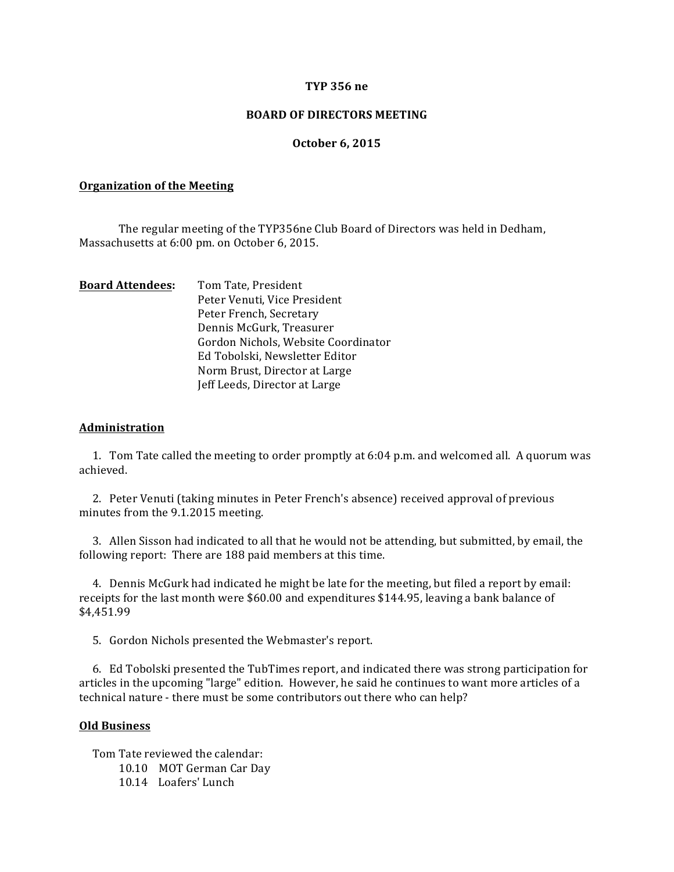### **TYP 356 ne**

### **BOARD OF DIRECTORS MEETING**

#### **October 6, 2015**

#### **Organization of the Meeting**

The regular meeting of the TYP356ne Club Board of Directors was held in Dedham, Massachusetts at 6:00 pm. on October 6, 2015.

| <b>Board Attendees:</b> | Tom Tate, President                 |
|-------------------------|-------------------------------------|
|                         | Peter Venuti, Vice President        |
|                         | Peter French, Secretary             |
|                         | Dennis McGurk, Treasurer            |
|                         | Gordon Nichols, Website Coordinator |
|                         | Ed Tobolski, Newsletter Editor      |
|                         | Norm Brust, Director at Large       |
|                         | Jeff Leeds, Director at Large       |
|                         |                                     |

#### **Administration**

1. Tom Tate called the meeting to order promptly at 6:04 p.m. and welcomed all. A quorum was achieved.

2. Peter Venuti (taking minutes in Peter French's absence) received approval of previous minutes from the 9.1.2015 meeting.

3. Allen Sisson had indicated to all that he would not be attending, but submitted, by email, the following report: There are 188 paid members at this time.

4. Dennis McGurk had indicated he might be late for the meeting, but filed a report by email: receipts for the last month were \$60.00 and expenditures \$144.95, leaving a bank balance of \$4,451.99 

5. Gordon Nichols presented the Webmaster's report.

6. Ed Tobolski presented the TubTimes report, and indicated there was strong participation for articles in the upcoming "large" edition. However, he said he continues to want more articles of a technical nature - there must be some contributors out there who can help?

## **Old Business**

Tom Tate reviewed the calendar:

10.10 MOT German Car Day

10.14 Loafers' Lunch